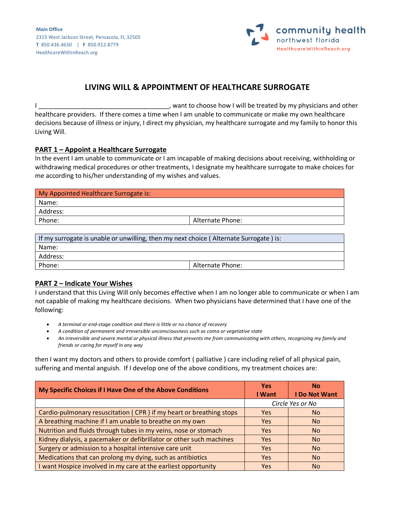**Main Office** 2315 West Jackson Street, Pensacola, FL 32505 **T** 850.436.4630 | **F** 850.912.8779 HealthcareWithinReach.org



# **LIVING WILL & APPOINTMENT OF HEALTHCARE SURROGATE**

I \_\_\_\_\_\_\_\_\_\_\_\_\_\_\_\_\_\_\_\_\_\_\_\_\_\_\_\_\_\_\_\_\_\_\_\_\_, want to choose how I will be treated by my physicians and other healthcare providers. If there comes a time when I am unable to communicate or make my own healthcare decisions because of illness or injury, I direct my physician, my healthcare surrogate and my family to honor this Living Will.

#### **PART 1 – Appoint a Healthcare Surrogate**

In the event I am unable to communicate or I am incapable of making decisions about receiving, withholding or withdrawing medical procedures or other treatments, I designate my healthcare surrogate to make choices for me according to his/her understanding of my wishes and values.

| My Appointed Healthcare Surrogate is: |                  |
|---------------------------------------|------------------|
| Name:                                 |                  |
| Address:                              |                  |
| Phone:                                | Alternate Phone: |
|                                       |                  |

| If my surrogate is unable or unwilling, then my next choice (Alternate Surrogate) is: |                  |  |
|---------------------------------------------------------------------------------------|------------------|--|
| Name:                                                                                 |                  |  |
| Address:                                                                              |                  |  |
| Phone:                                                                                | Alternate Phone: |  |

### **PART 2 – Indicate Your Wishes**

I understand that this Living Will only becomes effective when I am no longer able to communicate or when I am not capable of making my healthcare decisions. When two physicians have determined that I have one of the following:

- *A terminal or end-stage condition and there is little or no chance of recovery*
- *A condition of permanent and irreversible unconsciousness such as coma or vegetative state*
- *An irreversible and severe mental or physical illness that prevents me from communicating with others, recognizing my family and friends or caring for myself in any way*

then I want my doctors and others to provide comfort ( palliative ) care including relief of all physical pain, suffering and mental anguish. If I develop one of the above conditions, my treatment choices are:

| My Specific Choices if I Have One of the Above Conditions            | <b>Yes</b><br>I Want | <b>No</b><br>I Do Not Want |
|----------------------------------------------------------------------|----------------------|----------------------------|
|                                                                      | Circle Yes or No     |                            |
| Cardio-pulmonary resuscitation (CPR) if my heart or breathing stops  | <b>Yes</b>           | No.                        |
| A breathing machine if I am unable to breathe on my own              | Yes.                 | No.                        |
| Nutrition and fluids through tubes in my veins, nose or stomach      | <b>Yes</b>           | <b>No</b>                  |
| Kidney dialysis, a pacemaker or defibrillator or other such machines | <b>Yes</b>           | <b>No</b>                  |
| Surgery or admission to a hospital intensive care unit               | <b>Yes</b>           | No.                        |
| Medications that can prolong my dying, such as antibiotics           | Yes.                 | <b>No</b>                  |
| I want Hospice involved in my care at the earliest opportunity       | Yes                  | No.                        |